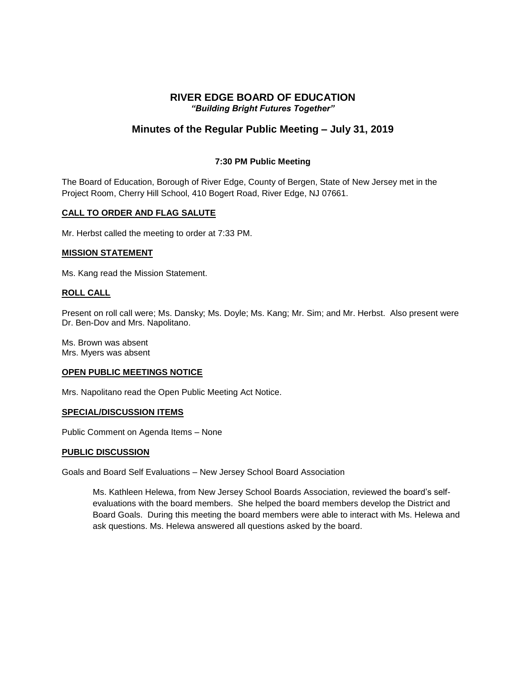# **RIVER EDGE BOARD OF EDUCATION** *"Building Bright Futures Together"*

# **Minutes of the Regular Public Meeting – July 31, 2019**

## **7:30 PM Public Meeting**

The Board of Education, Borough of River Edge, County of Bergen, State of New Jersey met in the Project Room, Cherry Hill School, 410 Bogert Road, River Edge, NJ 07661.

## **CALL TO ORDER AND FLAG SALUTE**

Mr. Herbst called the meeting to order at 7:33 PM.

## **MISSION STATEMENT**

Ms. Kang read the Mission Statement.

## **ROLL CALL**

Present on roll call were; Ms. Dansky; Ms. Doyle; Ms. Kang; Mr. Sim; and Mr. Herbst. Also present were Dr. Ben-Dov and Mrs. Napolitano.

Ms. Brown was absent Mrs. Myers was absent

#### **OPEN PUBLIC MEETINGS NOTICE**

Mrs. Napolitano read the Open Public Meeting Act Notice.

#### **SPECIAL/DISCUSSION ITEMS**

Public Comment on Agenda Items – None

#### **PUBLIC DISCUSSION**

Goals and Board Self Evaluations – New Jersey School Board Association

Ms. Kathleen Helewa, from New Jersey School Boards Association, reviewed the board's selfevaluations with the board members. She helped the board members develop the District and Board Goals. During this meeting the board members were able to interact with Ms. Helewa and ask questions. Ms. Helewa answered all questions asked by the board.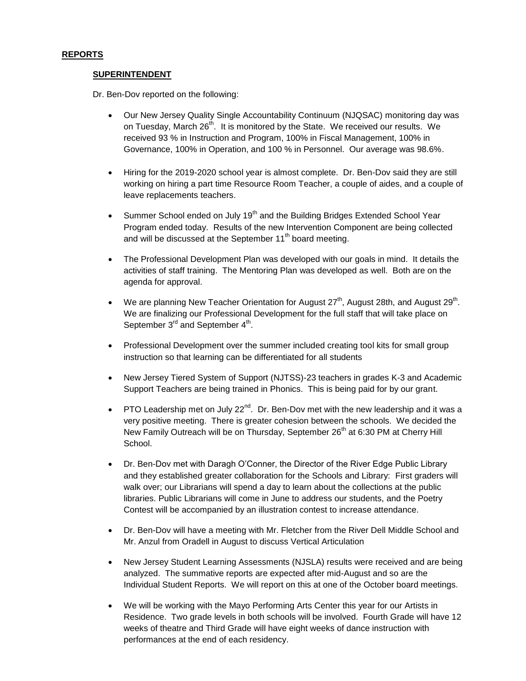## **REPORTS**

#### **SUPERINTENDENT**

Dr. Ben-Dov reported on the following:

- Our New Jersey Quality Single Accountability Continuum (NJQSAC) monitoring day was on Tuesday, March 26<sup>th</sup>. It is monitored by the State. We received our results. We received 93 % in Instruction and Program, 100% in Fiscal Management, 100% in Governance, 100% in Operation, and 100 % in Personnel. Our average was 98.6%.
- Hiring for the 2019-2020 school year is almost complete. Dr. Ben-Dov said they are still working on hiring a part time Resource Room Teacher, a couple of aides, and a couple of leave replacements teachers.
- **Summer School ended on July 19<sup>th</sup> and the Building Bridges Extended School Year** Program ended today. Results of the new Intervention Component are being collected and will be discussed at the September 11<sup>th</sup> board meeting.
- The Professional Development Plan was developed with our goals in mind. It details the activities of staff training. The Mentoring Plan was developed as well. Both are on the agenda for approval.
- We are planning New Teacher Orientation for August 27<sup>th</sup>, August 28th, and August 29<sup>th</sup>. We are finalizing our Professional Development for the full staff that will take place on September  $3^{\text{rd}}$  and September  $4^{\text{th}}$ .
- Professional Development over the summer included creating tool kits for small group instruction so that learning can be differentiated for all students
- New Jersey Tiered System of Support (NJTSS)-23 teachers in grades K-3 and Academic Support Teachers are being trained in Phonics. This is being paid for by our grant.
- PTO Leadership met on July 22 $<sup>nd</sup>$ . Dr. Ben-Dov met with the new leadership and it was a</sup> very positive meeting. There is greater cohesion between the schools. We decided the New Family Outreach will be on Thursday, September 26<sup>th</sup> at 6:30 PM at Cherry Hill School.
- Dr. Ben-Dov met with Daragh O'Conner, the Director of the River Edge Public Library and they established greater collaboration for the Schools and Library: First graders will walk over; our Librarians will spend a day to learn about the collections at the public libraries. Public Librarians will come in June to address our students, and the Poetry Contest will be accompanied by an illustration contest to increase attendance.
- Dr. Ben-Dov will have a meeting with Mr. Fletcher from the River Dell Middle School and Mr. Anzul from Oradell in August to discuss Vertical Articulation
- New Jersey Student Learning Assessments (NJSLA) results were received and are being analyzed. The summative reports are expected after mid-August and so are the Individual Student Reports. We will report on this at one of the October board meetings.
- We will be working with the Mayo Performing Arts Center this year for our Artists in Residence. Two grade levels in both schools will be involved. Fourth Grade will have 12 weeks of theatre and Third Grade will have eight weeks of dance instruction with performances at the end of each residency.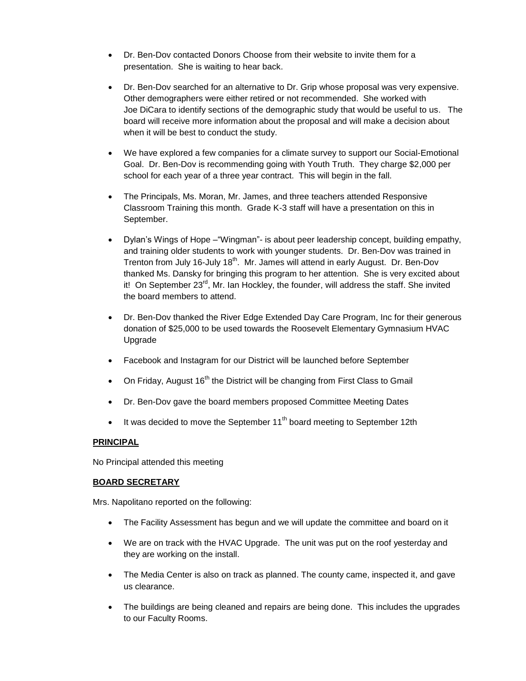- Dr. Ben-Dov contacted Donors Choose from their website to invite them for a presentation. She is waiting to hear back.
- Dr. Ben-Dov searched for an alternative to Dr. Grip whose proposal was very expensive. Other demographers were either retired or not recommended. She worked with Joe DiCara to identify sections of the demographic study that would be useful to us. The board will receive more information about the proposal and will make a decision about when it will be best to conduct the study.
- We have explored a few companies for a climate survey to support our Social-Emotional Goal. Dr. Ben-Dov is recommending going with Youth Truth. They charge \$2,000 per school for each year of a three year contract. This will begin in the fall.
- The Principals, Ms. Moran, Mr. James, and three teachers attended Responsive Classroom Training this month. Grade K-3 staff will have a presentation on this in September.
- Dylan's Wings of Hope –"Wingman"- is about peer leadership concept, building empathy, and training older students to work with younger students. Dr. Ben-Dov was trained in Trenton from July 16-July 18<sup>th</sup>. Mr. James will attend in early August. Dr. Ben-Dov thanked Ms. Dansky for bringing this program to her attention. She is very excited about it! On September 23<sup>rd</sup>, Mr. Ian Hockley, the founder, will address the staff. She invited the board members to attend.
- Dr. Ben-Dov thanked the River Edge Extended Day Care Program, Inc for their generous donation of \$25,000 to be used towards the Roosevelt Elementary Gymnasium HVAC Upgrade
- Facebook and Instagram for our District will be launched before September
- On Friday, August 16<sup>th</sup> the District will be changing from First Class to Gmail
- Dr. Ben-Dov gave the board members proposed Committee Meeting Dates
- It was decided to move the September  $11<sup>th</sup>$  board meeting to September 12th

## **PRINCIPAL**

No Principal attended this meeting

## **BOARD SECRETARY**

Mrs. Napolitano reported on the following:

- The Facility Assessment has begun and we will update the committee and board on it
- We are on track with the HVAC Upgrade. The unit was put on the roof yesterday and they are working on the install.
- The Media Center is also on track as planned. The county came, inspected it, and gave us clearance.
- The buildings are being cleaned and repairs are being done. This includes the upgrades to our Faculty Rooms.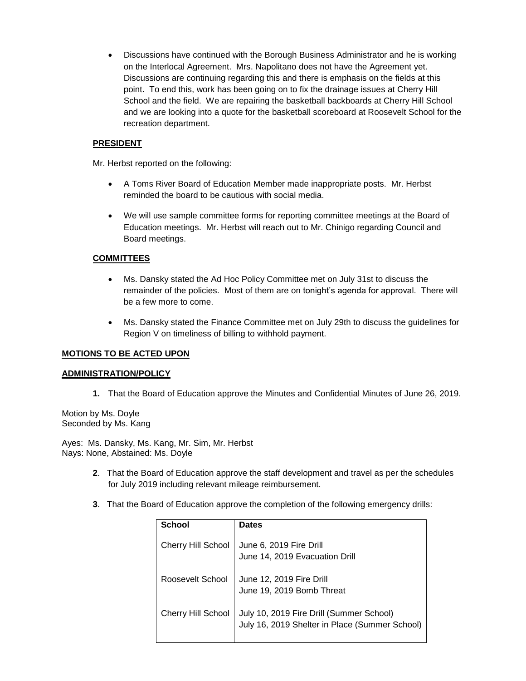Discussions have continued with the Borough Business Administrator and he is working on the Interlocal Agreement. Mrs. Napolitano does not have the Agreement yet. Discussions are continuing regarding this and there is emphasis on the fields at this point. To end this, work has been going on to fix the drainage issues at Cherry Hill School and the field. We are repairing the basketball backboards at Cherry Hill School and we are looking into a quote for the basketball scoreboard at Roosevelt School for the recreation department.

# **PRESIDENT**

Mr. Herbst reported on the following:

- A Toms River Board of Education Member made inappropriate posts. Mr. Herbst reminded the board to be cautious with social media.
- We will use sample committee forms for reporting committee meetings at the Board of Education meetings. Mr. Herbst will reach out to Mr. Chinigo regarding Council and Board meetings.

## **COMMITTEES**

- Ms. Dansky stated the Ad Hoc Policy Committee met on July 31st to discuss the remainder of the policies. Most of them are on tonight's agenda for approval. There will be a few more to come.
- Ms. Dansky stated the Finance Committee met on July 29th to discuss the guidelines for Region V on timeliness of billing to withhold payment.

## **MOTIONS TO BE ACTED UPON**

## **ADMINISTRATION/POLICY**

**1.** That the Board of Education approve the Minutes and Confidential Minutes of June 26, 2019.

Motion by Ms. Doyle Seconded by Ms. Kang

Ayes: Ms. Dansky, Ms. Kang, Mr. Sim, Mr. Herbst Nays: None, Abstained: Ms. Doyle

- **2**. That the Board of Education approve the staff development and travel as per the schedules for July 2019 including relevant mileage reimbursement.
- **3**. That the Board of Education approve the completion of the following emergency drills:

| School                    | <b>Dates</b>                                   |
|---------------------------|------------------------------------------------|
|                           |                                                |
| <b>Cherry Hill School</b> | June 6, 2019 Fire Drill                        |
|                           | June 14, 2019 Evacuation Drill                 |
| Roosevelt School          | June 12, 2019 Fire Drill                       |
|                           | June 19, 2019 Bomb Threat                      |
| <b>Cherry Hill School</b> | July 10, 2019 Fire Drill (Summer School)       |
|                           | July 16, 2019 Shelter in Place (Summer School) |
|                           |                                                |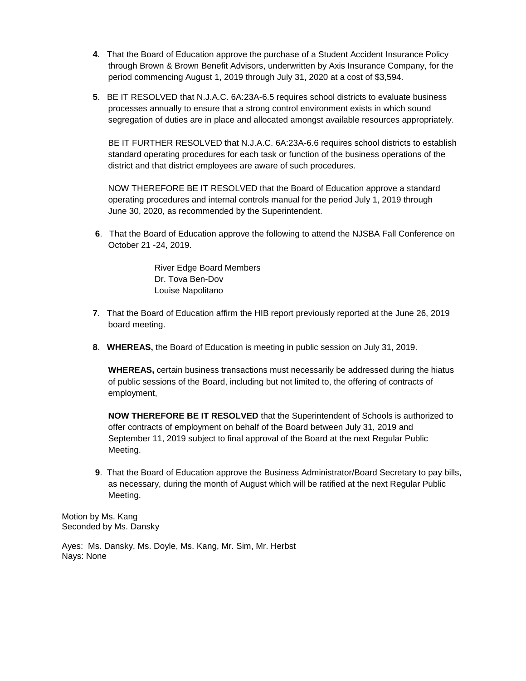- **4**. That the Board of Education approve the purchase of a Student Accident Insurance Policy through Brown & Brown Benefit Advisors, underwritten by Axis Insurance Company, for the period commencing August 1, 2019 through July 31, 2020 at a cost of \$3,594.
- **5**. BE IT RESOLVED that N.J.A.C. 6A:23A-6.5 requires school districts to evaluate business processes annually to ensure that a strong control environment exists in which sound segregation of duties are in place and allocated amongst available resources appropriately.

BE IT FURTHER RESOLVED that N.J.A.C. 6A:23A-6.6 requires school districts to establish standard operating procedures for each task or function of the business operations of the district and that district employees are aware of such procedures.

NOW THEREFORE BE IT RESOLVED that the Board of Education approve a standard operating procedures and internal controls manual for the period July 1, 2019 through June 30, 2020, as recommended by the Superintendent.

**6**. That the Board of Education approve the following to attend the NJSBA Fall Conference on October 21 -24, 2019.

> River Edge Board Members Dr. Tova Ben-Dov Louise Napolitano

- **7**. That the Board of Education affirm the HIB report previously reported at the June 26, 2019 board meeting.
- **8**. **WHEREAS,** the Board of Education is meeting in public session on July 31, 2019.

**WHEREAS,** certain business transactions must necessarily be addressed during the hiatus of public sessions of the Board, including but not limited to, the offering of contracts of employment,

**NOW THEREFORE BE IT RESOLVED** that the Superintendent of Schools is authorized to offer contracts of employment on behalf of the Board between July 31, 2019 and September 11, 2019 subject to final approval of the Board at the next Regular Public Meeting.

**9**. That the Board of Education approve the Business Administrator/Board Secretary to pay bills, as necessary, during the month of August which will be ratified at the next Regular Public Meeting.

Motion by Ms. Kang Seconded by Ms. Dansky

Ayes: Ms. Dansky, Ms. Doyle, Ms. Kang, Mr. Sim, Mr. Herbst Nays: None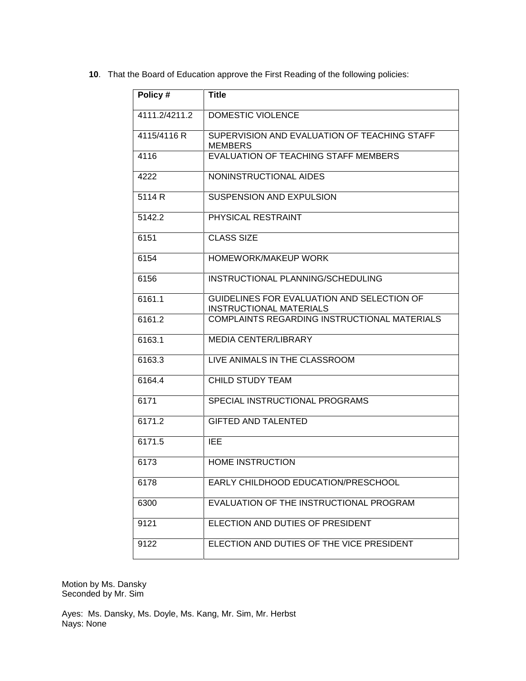**10**. That the Board of Education approve the First Reading of the following policies:

| Policy #      | <b>Title</b>                                                          |
|---------------|-----------------------------------------------------------------------|
| 4111.2/4211.2 | <b>DOMESTIC VIOLENCE</b>                                              |
| 4115/4116 R   | SUPERVISION AND EVALUATION OF TEACHING STAFF<br><b>MEMBERS</b>        |
| 4116          | EVALUATION OF TEACHING STAFF MEMBERS                                  |
| 4222          | NONINSTRUCTIONAL AIDES                                                |
| 5114 R        | <b>SUSPENSION AND EXPULSION</b>                                       |
| 5142.2        | PHYSICAL RESTRAINT                                                    |
| 6151          | <b>CLASS SIZE</b>                                                     |
| 6154          | <b>HOMEWORK/MAKEUP WORK</b>                                           |
| 6156          | INSTRUCTIONAL PLANNING/SCHEDULING                                     |
| 6161.1        | GUIDELINES FOR EVALUATION AND SELECTION OF<br>INSTRUCTIONAL MATERIALS |
| 6161.2        | COMPLAINTS REGARDING INSTRUCTIONAL MATERIALS                          |
| 6163.1        | <b>MEDIA CENTER/LIBRARY</b>                                           |
| 6163.3        | LIVE ANIMALS IN THE CLASSROOM                                         |
| 6164.4        | <b>CHILD STUDY TEAM</b>                                               |
| 6171          | SPECIAL INSTRUCTIONAL PROGRAMS                                        |
| 6171.2        | <b>GIFTED AND TALENTED</b>                                            |
| 6171.5        | IEE                                                                   |
| 6173          | <b>HOME INSTRUCTION</b>                                               |
| 6178          | EARLY CHILDHOOD EDUCATION/PRESCHOOL                                   |
| 6300          | EVALUATION OF THE INSTRUCTIONAL PROGRAM                               |
| 9121          | ELECTION AND DUTIES OF PRESIDENT                                      |
| 9122          | ELECTION AND DUTIES OF THE VICE PRESIDENT                             |

Motion by Ms. Dansky Seconded by Mr. Sim

Ayes: Ms. Dansky, Ms. Doyle, Ms. Kang, Mr. Sim, Mr. Herbst Nays: None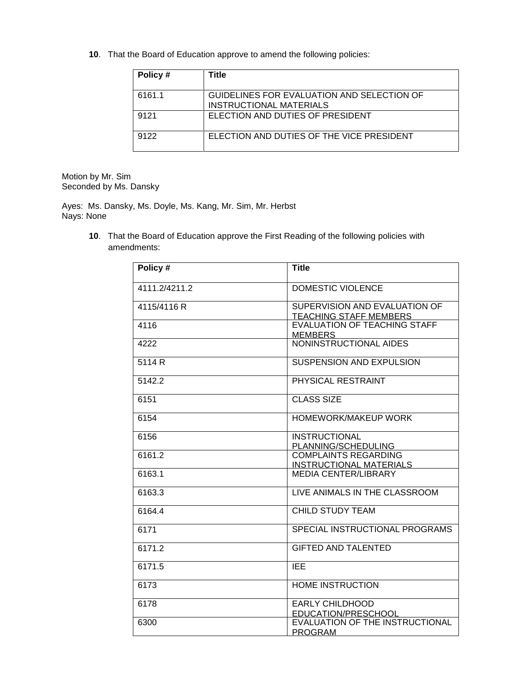**10**. That the Board of Education approve to amend the following policies:

| Policy# | Title                                                                        |
|---------|------------------------------------------------------------------------------|
| 6161.1  | GUIDELINES FOR EVALUATION AND SELECTION OF<br><b>INSTRUCTIONAL MATERIALS</b> |
| 9121    | ELECTION AND DUTIES OF PRESIDENT                                             |
| 9122    | ELECTION AND DUTIES OF THE VICE PRESIDENT                                    |

Motion by Mr. Sim Seconded by Ms. Dansky

Ayes: Ms. Dansky, Ms. Doyle, Ms. Kang, Mr. Sim, Mr. Herbst Nays: None

> **10**. That the Board of Education approve the First Reading of the following policies with amendments:

| Policy#       | <b>Title</b>                                                   |
|---------------|----------------------------------------------------------------|
| 4111.2/4211.2 | DOMESTIC VIOLENCE                                              |
| 4115/4116 R   | SUPERVISION AND EVALUATION OF<br><b>TEACHING STAFF MEMBERS</b> |
| 4116          | <b>EVALUATION OF TEACHING STAFF</b><br><b>MEMBERS</b>          |
| 4222          | NONINSTRUCTIONAL AIDES                                         |
| 5114 R        | SUSPENSION AND EXPULSION                                       |
| 5142.2        | PHYSICAL RESTRAINT                                             |
| 6151          | <b>CLASS SIZE</b>                                              |
| 6154          | HOMEWORK/MAKEUP WORK                                           |
| 6156          | <b>INSTRUCTIONAL</b><br>PLANNING/SCHEDULING                    |
| 6161.2        | <b>COMPLAINTS REGARDING</b><br><b>INSTRUCTIONAL MATERIALS</b>  |
| 6163.1        | <b>MEDIA CENTER/LIBRARY</b>                                    |
| 6163.3        | LIVE ANIMALS IN THE CLASSROOM                                  |
| 6164.4        | <b>CHILD STUDY TEAM</b>                                        |
| 6171          | SPECIAL INSTRUCTIONAL PROGRAMS                                 |
| 6171.2        | <b>GIFTED AND TALENTED</b>                                     |
| 6171.5        | <b>IEE</b>                                                     |
| 6173          | <b>HOME INSTRUCTION</b>                                        |
| 6178          | <b>EARLY CHILDHOOD</b><br>EDUCATION/PRESCHOOL                  |
| 6300          | EVALUATION OF THE INSTRUCTIONAL<br><b>PROGRAM</b>              |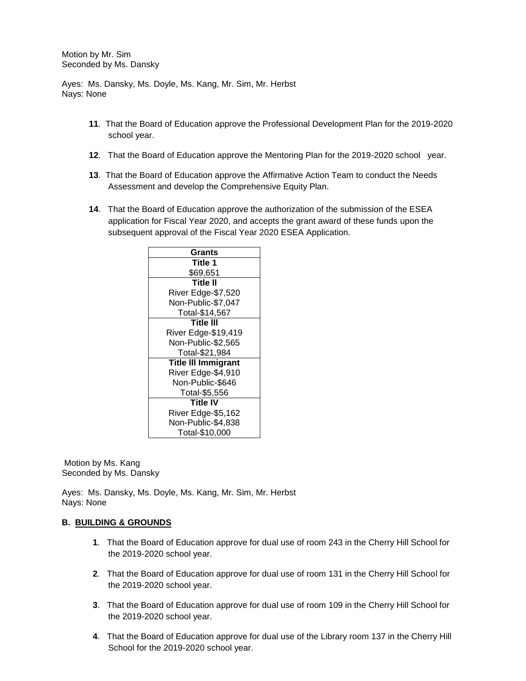Motion by Mr. Sim Seconded by Ms. Dansky

Ayes: Ms. Dansky, Ms. Doyle, Ms. Kang, Mr. Sim, Mr. Herbst Nays: None

- **11**. That the Board of Education approve the Professional Development Plan for the 2019-2020 school year.
- **12**. That the Board of Education approve the Mentoring Plan for the 2019-2020 school year.
- **13**. That the Board of Education approve the Affirmative Action Team to conduct the Needs Assessment and develop the Comprehensive Equity Plan.
- **14**. That the Board of Education approve the authorization of the submission of the ESEA application for Fiscal Year 2020, and accepts the grant award of these funds upon the subsequent approval of the Fiscal Year 2020 ESEA Application.

| Grants                     |  |  |
|----------------------------|--|--|
| Title 1                    |  |  |
| \$69,651                   |  |  |
| <b>Title II</b>            |  |  |
| River Edge-\$7,520         |  |  |
| Non-Public-\$7,047         |  |  |
| Total-\$14,567             |  |  |
| Title III                  |  |  |
| River Edge-\$19,419        |  |  |
| Non-Public-\$2,565         |  |  |
| Total-\$21,984             |  |  |
| <b>Title III Immigrant</b> |  |  |
| River Edge-\$4,910         |  |  |
| Non-Public-\$646           |  |  |
| Total-\$5,556              |  |  |
| <b>Title IV</b>            |  |  |
| River Edge-\$5,162         |  |  |
| Non-Public-\$4,838         |  |  |
| Total-\$10,000             |  |  |

Motion by Ms. Kang Seconded by Ms. Dansky

Ayes: Ms. Dansky, Ms. Doyle, Ms. Kang, Mr. Sim, Mr. Herbst Nays: None

## **B. BUILDING & GROUNDS**

- **1**. That the Board of Education approve for dual use of room 243 in the Cherry Hill School for the 2019-2020 school year.
- **2**. That the Board of Education approve for dual use of room 131 in the Cherry Hill School for the 2019-2020 school year.
- **3**. That the Board of Education approve for dual use of room 109 in the Cherry Hill School for the 2019-2020 school year.
- **4**. That the Board of Education approve for dual use of the Library room 137 in the Cherry Hill School for the 2019-2020 school year.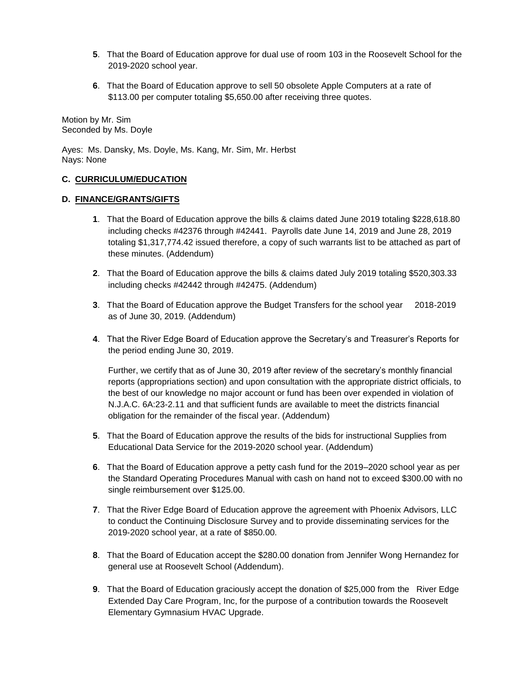- **5**. That the Board of Education approve for dual use of room 103 in the Roosevelt School for the 2019-2020 school year.
- **6**. That the Board of Education approve to sell 50 obsolete Apple Computers at a rate of \$113.00 per computer totaling \$5,650.00 after receiving three quotes.

Motion by Mr. Sim Seconded by Ms. Doyle

Ayes: Ms. Dansky, Ms. Doyle, Ms. Kang, Mr. Sim, Mr. Herbst Nays: None

## **C. CURRICULUM/EDUCATION**

## **D. FINANCE/GRANTS/GIFTS**

- **1**. That the Board of Education approve the bills & claims dated June 2019 totaling \$228,618.80 including checks #42376 through #42441. Payrolls date June 14, 2019 and June 28, 2019 totaling \$1,317,774.42 issued therefore, a copy of such warrants list to be attached as part of these minutes. (Addendum)
- **2**. That the Board of Education approve the bills & claims dated July 2019 totaling \$520,303.33 including checks #42442 through #42475. (Addendum)
- **3**. That the Board of Education approve the Budget Transfers for the school year 2018-2019 as of June 30, 2019. (Addendum)
- **4**. That the River Edge Board of Education approve the Secretary's and Treasurer's Reports for the period ending June 30, 2019.

Further, we certify that as of June 30, 2019 after review of the secretary's monthly financial reports (appropriations section) and upon consultation with the appropriate district officials, to the best of our knowledge no major account or fund has been over expended in violation of N.J.A.C. 6A:23-2.11 and that sufficient funds are available to meet the districts financial obligation for the remainder of the fiscal year. (Addendum)

- **5**. That the Board of Education approve the results of the bids for instructional Supplies from Educational Data Service for the 2019-2020 school year. (Addendum)
- **6**. That the Board of Education approve a petty cash fund for the 2019–2020 school year as per the Standard Operating Procedures Manual with cash on hand not to exceed \$300.00 with no single reimbursement over \$125.00.
- **7**. That the River Edge Board of Education approve the agreement with Phoenix Advisors, LLC to conduct the Continuing Disclosure Survey and to provide disseminating services for the 2019-2020 school year, at a rate of \$850.00.
- **8**. That the Board of Education accept the \$280.00 donation from Jennifer Wong Hernandez for general use at Roosevelt School (Addendum).
- **9**. That the Board of Education graciously accept the donation of \$25,000 from theRiver Edge Extended Day Care Program, Inc, for the purpose of a contribution towards the Roosevelt Elementary Gymnasium HVAC Upgrade.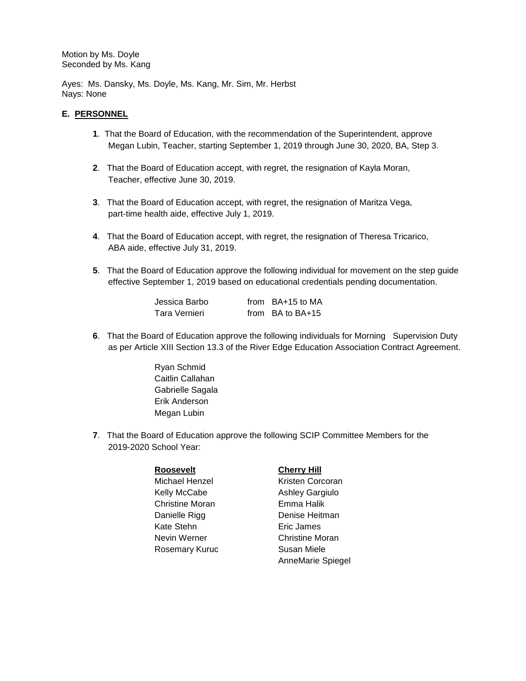Motion by Ms. Doyle Seconded by Ms. Kang

Ayes: Ms. Dansky, Ms. Doyle, Ms. Kang, Mr. Sim, Mr. Herbst Nays: None

## **E. PERSONNEL**

- **1**. That the Board of Education, with the recommendation of the Superintendent, approve Megan Lubin, Teacher, starting September 1, 2019 through June 30, 2020, BA, Step 3.
- **2**. That the Board of Education accept, with regret, the resignation of Kayla Moran, Teacher, effective June 30, 2019.
- **3**. That the Board of Education accept, with regret, the resignation of Maritza Vega, part-time health aide, effective July 1, 2019.
- **4**. That the Board of Education accept, with regret, the resignation of Theresa Tricarico, ABA aide, effective July 31, 2019.
- **5**. That the Board of Education approve the following individual for movement on the step guide effective September 1, 2019 based on educational credentials pending documentation.

| Jessica Barbo | from $BA+15$ to MA   |
|---------------|----------------------|
| Tara Vernieri | from $BA$ to $BA+15$ |

- **6**. That the Board of Education approve the following individuals for Morning Supervision Duty as per Article XIII Section 13.3 of the River Edge Education Association Contract Agreement.
	- Ryan Schmid Caitlin Callahan Gabrielle Sagala Erik Anderson Megan Lubin
- **7**. That the Board of Education approve the following SCIP Committee Members for the 2019-2020 School Year:

## **Roosevelt Cherry Hill**

Kelly McCabe Ashley Gargiulo Christine Moran Emma Halik Kate Stehn Eric James Nevin Werner **Christine Moran** Rosemary Kuruc Susan Miele

Michael Henzel **Kristen Corcoran** Danielle Rigg **Denise Heitman** AnneMarie Spiegel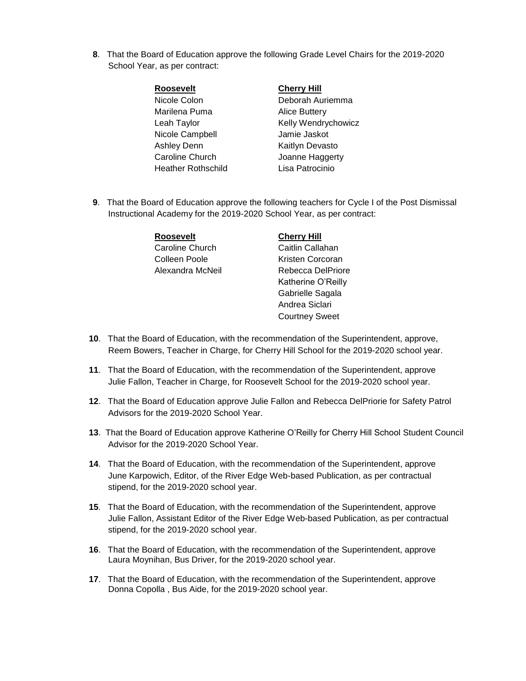**8**. That the Board of Education approve the following Grade Level Chairs for the 2019-2020 School Year, as per contract:

| <b>Roosevelt</b>          | <b>Cherry Hill</b>   |
|---------------------------|----------------------|
| Nicole Colon              | Deborah Auriemma     |
| Marilena Puma             | <b>Alice Buttery</b> |
| Leah Taylor               | Kelly Wendrychowicz  |
| Nicole Campbell           | Jamie Jaskot         |
| <b>Ashley Denn</b>        | Kaitlyn Devasto      |
| Caroline Church           | Joanne Haggerty      |
| <b>Heather Rothschild</b> | Lisa Patrocinio      |
|                           |                      |

**9**. That the Board of Education approve the following teachers for Cycle I of the Post Dismissal Instructional Academy for the 2019-2020 School Year, as per contract:

| <b>Roosevelt</b> | <b>Cherry Hill</b> |
|------------------|--------------------|
| Caroline Church  | Caitlin Callahan   |
| Colleen Poole    | Kristen Corcoran   |
| Alexandra McNeil | Rebecca DelPriore  |
|                  | Katherine O'Reilly |
|                  | Gabrielle Sagala   |

**10**. That the Board of Education, with the recommendation of the Superintendent, approve, Reem Bowers, Teacher in Charge, for Cherry Hill School for the 2019-2020 school year.

Andrea Siclari Courtney Sweet

- **11**. That the Board of Education, with the recommendation of the Superintendent, approve Julie Fallon, Teacher in Charge, for Roosevelt School for the 2019-2020 school year.
- **12**. That the Board of Education approve Julie Fallon and Rebecca DelPriorie for Safety Patrol Advisors for the 2019-2020 School Year.
- **13**. That the Board of Education approve Katherine O'Reilly for Cherry Hill School Student Council Advisor for the 2019-2020 School Year.
- **14**. That the Board of Education, with the recommendation of the Superintendent, approve June Karpowich, Editor, of the River Edge Web-based Publication, as per contractual stipend, for the 2019-2020 school year.
- **15**. That the Board of Education, with the recommendation of the Superintendent, approve Julie Fallon, Assistant Editor of the River Edge Web-based Publication, as per contractual stipend, for the 2019-2020 school year.
- **16**. That the Board of Education, with the recommendation of the Superintendent, approve Laura Moynihan, Bus Driver, for the 2019-2020 school year.
- **17**. That the Board of Education, with the recommendation of the Superintendent, approve Donna Copolla , Bus Aide, for the 2019-2020 school year.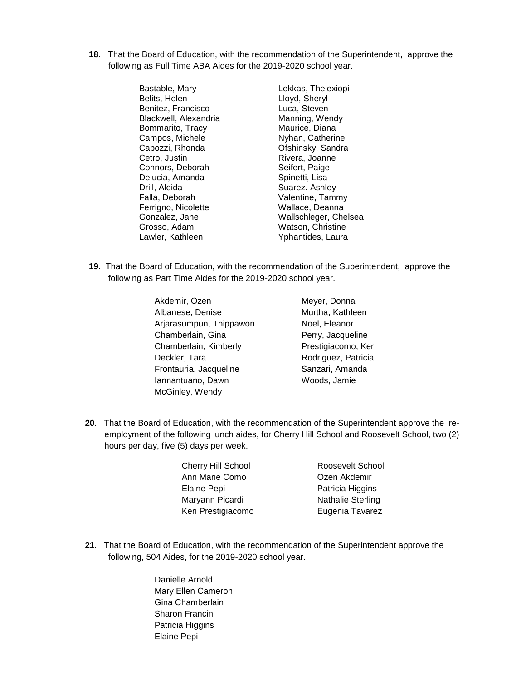**18**. That the Board of Education, with the recommendation of the Superintendent, approve the following as Full Time ABA Aides for the 2019-2020 school year.

> Bastable, Mary **Lekkas**, Thelexiopi Belits, Helen Lloyd, Sheryl Benitez, Francisco Luca, Steven Blackwell, Alexandria Manning, Wendy<br>Bommarito, Tracy Maurice, Diana Bommarito, Tracy Campos, Michele Nyhan, Catherine Capozzi, Rhonda **Ofshinsky**, Sandra Cetro, Justin **Rivera**, Joanne Connors, Deborah Seifert, Paige Delucia, Amanda Spinetti, Lisa Drill, Aleida Suarez. Ashley Falla, Deborah Valentine, Tammy Ferrigno, Nicolette Wallace, Deanna Grosso, Adam Watson, Christine

Gonzalez, Jane Wallschleger, Chelsea Lawler, Kathleen Yphantides, Laura

- **19**. That the Board of Education, with the recommendation of the Superintendent, approve the following as Part Time Aides for the 2019-2020 school year.
	- Akdemir, Ozen Albanese, Denise Arjarasumpun, Thippawon Chamberlain, Gina Chamberlain, Kimberly Deckler, Tara Frontauria, Jacqueline Iannantuano, Dawn McGinley, Wendy
- Meyer, Donna Murtha, Kathleen Noel, Eleanor Perry, Jacqueline Prestigiacomo, Keri Rodriguez, Patricia Sanzari, Amanda Woods, Jamie
- **20**. That the Board of Education, with the recommendation of the Superintendent approve the reemployment of the following lunch aides, for Cherry Hill School and Roosevelt School, two (2) hours per day, five (5) days per week.

| Cherry Hill School | Roosevelt School         |
|--------------------|--------------------------|
| Ann Marie Como     | Ozen Akdemir             |
| Elaine Pepi        | Patricia Higgins         |
| Maryann Picardi    | <b>Nathalie Sterling</b> |
| Keri Prestigiacomo | Eugenia Tavarez          |

- **21**. That the Board of Education, with the recommendation of the Superintendent approve the following, 504 Aides, for the 2019-2020 school year.
	- Danielle Arnold Mary Ellen Cameron Gina Chamberlain Sharon Francin Patricia Higgins Elaine Pepi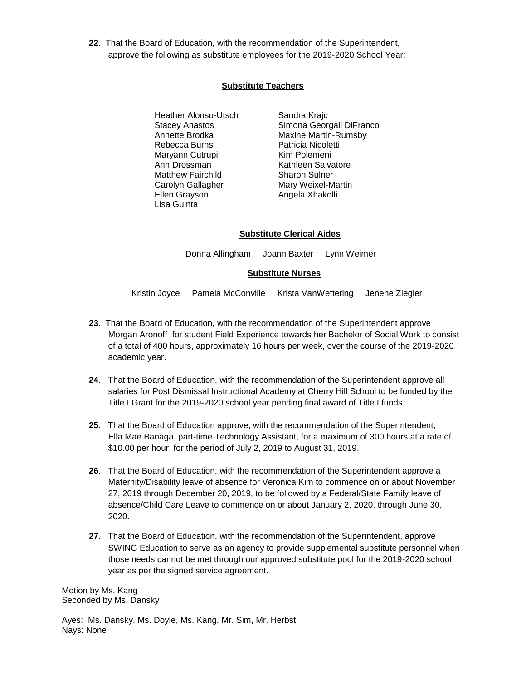**22**. That the Board of Education, with the recommendation of the Superintendent, approve the following as substitute employees for the 2019-2020 School Year:

# **Substitute Teachers**

- Heather Alonso-Utsch Stacey Anastos Annette Brodka Rebecca Burns Maryann Cutrupi Ann Drossman Matthew Fairchild Carolyn Gallagher Ellen Grayson Lisa Guinta
- Sandra Krajc Simona Georgali DiFranco Maxine Martin-Rumsby Patricia Nicoletti Kim Polemeni Kathleen Salvatore Sharon Sulner Mary Weixel-Martin Angela Xhakolli

## **Substitute Clerical Aides**

Donna Allingham Joann Baxter Lynn Weimer

## **Substitute Nurses**

Kristin Joyce Pamela McConville Krista VanWettering Jenene Ziegler

- **23**. That the Board of Education, with the recommendation of the Superintendent approve Morgan Aronoff for student Field Experience towards her Bachelor of Social Work to consist of a total of 400 hours, approximately 16 hours per week, over the course of the 2019-2020 academic year.
- **24**. That the Board of Education, with the recommendation of the Superintendent approve all salaries for Post Dismissal Instructional Academy at Cherry Hill School to be funded by the Title I Grant for the 2019-2020 school year pending final award of Title I funds.
- **25**. That the Board of Education approve, with the recommendation of the Superintendent, Ella Mae Banaga, part-time Technology Assistant, for a maximum of 300 hours at a rate of \$10.00 per hour, for the period of July 2, 2019 to August 31, 2019.
- **26**. That the Board of Education, with the recommendation of the Superintendent approve a Maternity/Disability leave of absence for Veronica Kim to commence on or about November 27, 2019 through December 20, 2019, to be followed by a Federal/State Family leave of absence/Child Care Leave to commence on or about January 2, 2020, through June 30, 2020.
- **27**. That the Board of Education, with the recommendation of the Superintendent, approve SWING Education to serve as an agency to provide supplemental substitute personnel when those needs cannot be met through our approved substitute pool for the 2019-2020 school year as per the signed service agreement.

Motion by Ms. Kang Seconded by Ms. Dansky

Ayes: Ms. Dansky, Ms. Doyle, Ms. Kang, Mr. Sim, Mr. Herbst Nays: None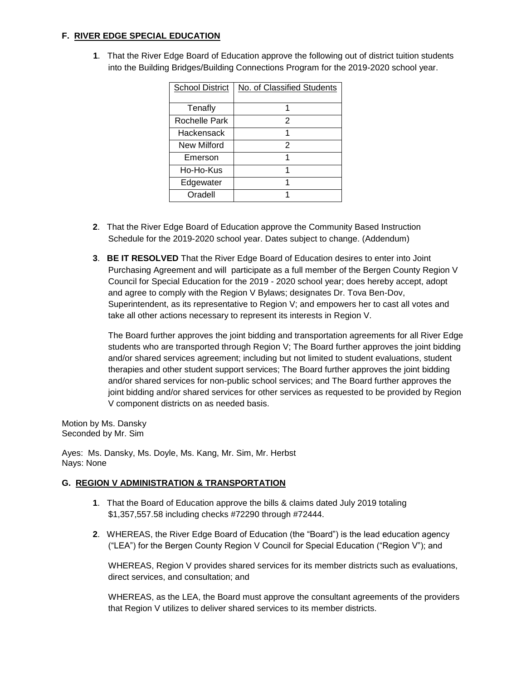# **F. RIVER EDGE SPECIAL EDUCATION**

 **1**. That the River Edge Board of Education approve the following out of district tuition students into the Building Bridges/Building Connections Program for the 2019-2020 school year.

| <b>School District</b> | No. of Classified Students |
|------------------------|----------------------------|
| Tenafly                |                            |
| Rochelle Park          | 2                          |
| Hackensack             |                            |
| <b>New Milford</b>     | 2                          |
| Emerson                | 1                          |
| Ho-Ho-Kus              |                            |
| Edgewater              |                            |
| Oradell                |                            |

- **2**. That the River Edge Board of Education approve the Community Based Instruction Schedule for the 2019-2020 school year. Dates subject to change. (Addendum)
- **3**. **BE IT RESOLVED** That the River Edge Board of Education desires to enter into Joint Purchasing Agreement and will participate as a full member of the Bergen County Region V Council for Special Education for the 2019 - 2020 school year; does hereby accept, adopt and agree to comply with the Region V Bylaws; designates Dr. Tova Ben-Dov, Superintendent, as its representative to Region V; and empowers her to cast all votes and take all other actions necessary to represent its interests in Region V.

The Board further approves the joint bidding and transportation agreements for all River Edge students who are transported through Region V; The Board further approves the joint bidding and/or shared services agreement; including but not limited to student evaluations, student therapies and other student support services; The Board further approves the joint bidding and/or shared services for non-public school services; and The Board further approves the joint bidding and/or shared services for other services as requested to be provided by Region V component districts on as needed basis.

Motion by Ms. Dansky Seconded by Mr. Sim

Ayes: Ms. Dansky, Ms. Doyle, Ms. Kang, Mr. Sim, Mr. Herbst Nays: None

## **G. REGION V ADMINISTRATION & TRANSPORTATION**

- **1**. That the Board of Education approve the bills & claims dated July 2019 totaling \$1,357,557.58 including checks #72290 through #72444.
- **2**. WHEREAS, the River Edge Board of Education (the "Board") is the lead education agency ("LEA") for the Bergen County Region V Council for Special Education ("Region V"); and

WHEREAS, Region V provides shared services for its member districts such as evaluations, direct services, and consultation; and

WHEREAS, as the LEA, the Board must approve the consultant agreements of the providers that Region V utilizes to deliver shared services to its member districts.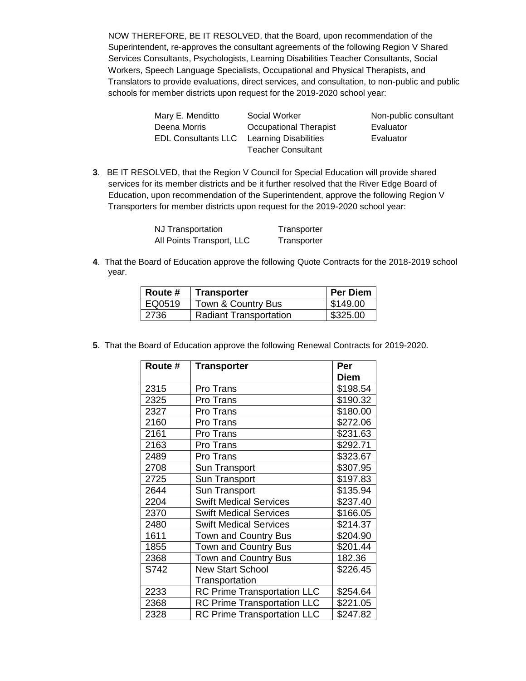NOW THEREFORE, BE IT RESOLVED, that the Board, upon recommendation of the Superintendent, re-approves the consultant agreements of the following Region V Shared Services Consultants, Psychologists, Learning Disabilities Teacher Consultants, Social Workers, Speech Language Specialists, Occupational and Physical Therapists, and Translators to provide evaluations, direct services, and consultation, to non-public and public schools for member districts upon request for the 2019-2020 school year:

| Mary E. Menditto           | Social Worker             | Non-public consultant |
|----------------------------|---------------------------|-----------------------|
| Deena Morris               | Occupational Therapist    | Evaluator             |
| <b>EDL Consultants LLC</b> | Learning Disabilities     | Evaluator             |
|                            | <b>Teacher Consultant</b> |                       |

**3**. BE IT RESOLVED, that the Region V Council for Special Education will provide shared services for its member districts and be it further resolved that the River Edge Board of Education, upon recommendation of the Superintendent, approve the following Region V Transporters for member districts upon request for the 2019-2020 school year:

| NJ Transportation         | Transporter |
|---------------------------|-------------|
| All Points Transport, LLC | Transporter |

**4**. That the Board of Education approve the following Quote Contracts for the 2018-2019 school year.

| Route # | <b>Transporter</b>            | <b>Per Diem</b> |
|---------|-------------------------------|-----------------|
| EQ0519  | Town & Country Bus            | \$149.00        |
| 2736    | <b>Radiant Transportation</b> | \$325.00        |

**5**. That the Board of Education approve the following Renewal Contracts for 2019-2020.

| Route # | <b>Transporter</b>                 | Per         |
|---------|------------------------------------|-------------|
|         |                                    | <b>Diem</b> |
| 2315    | Pro Trans                          | \$198.54    |
| 2325    | Pro Trans                          | \$190.32    |
| 2327    | Pro Trans                          | \$180.00    |
| 2160    | Pro Trans                          | \$272.06    |
| 2161    | Pro Trans                          | \$231.63    |
| 2163    | Pro Trans                          | \$292.71    |
| 2489    | Pro Trans                          | \$323.67    |
| 2708    | Sun Transport                      | \$307.95    |
| 2725    | Sun Transport                      | \$197.83    |
| 2644    | Sun Transport                      | \$135.94    |
| 2204    | <b>Swift Medical Services</b>      | \$237.40    |
| 2370    | <b>Swift Medical Services</b>      | \$166.05    |
| 2480    | <b>Swift Medical Services</b>      | \$214.37    |
| 1611    | <b>Town and Country Bus</b>        | \$204.90    |
| 1855    | <b>Town and Country Bus</b>        | \$201.44    |
| 2368    | <b>Town and Country Bus</b>        | 182.36      |
| S742    | <b>New Start School</b>            | \$226.45    |
|         | Transportation                     |             |
| 2233    | <b>RC Prime Transportation LLC</b> | \$254.64    |
| 2368    | <b>RC Prime Transportation LLC</b> | \$221.05    |
| 2328    | <b>RC Prime Transportation LLC</b> | \$247.82    |